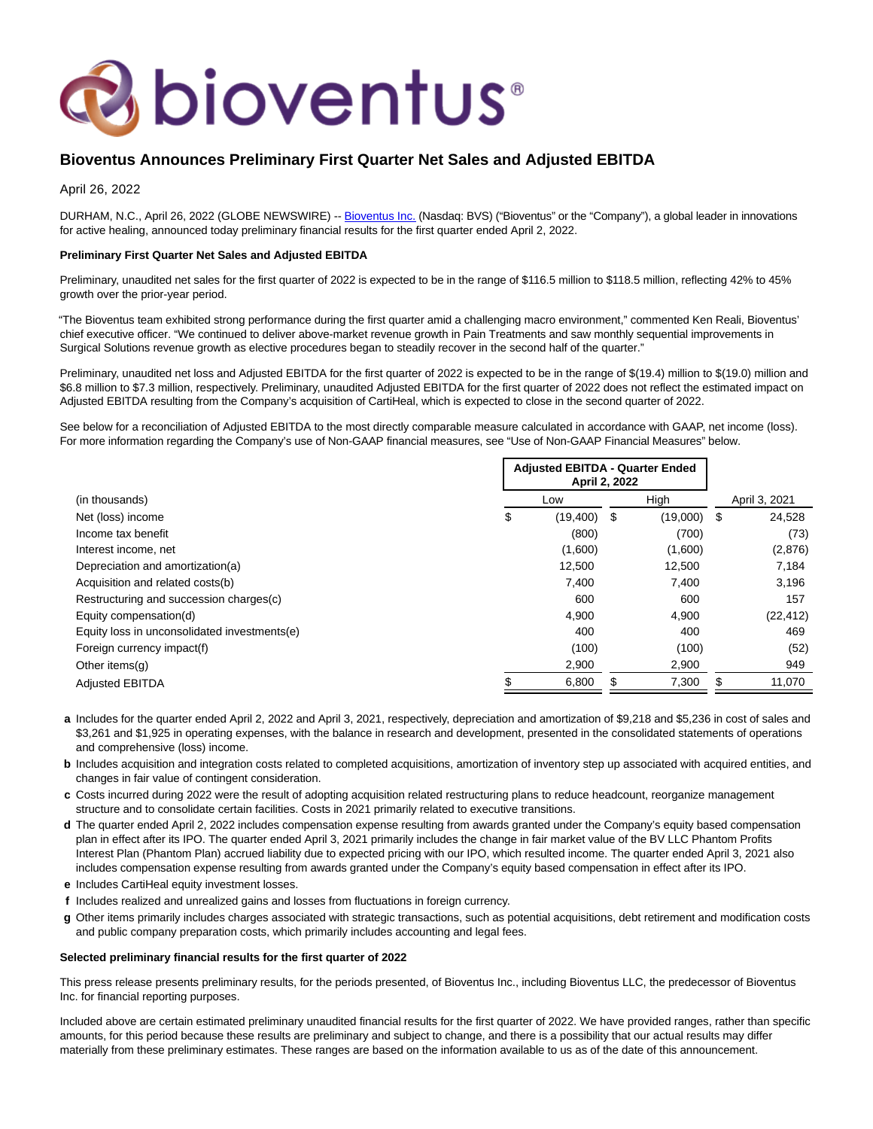

# **Bioventus Announces Preliminary First Quarter Net Sales and Adjusted EBITDA**

April 26, 2022

DURHAM, N.C., April 26, 2022 (GLOBE NEWSWIRE) -- [Bioventus Inc. \(](https://www.globenewswire.com/Tracker?data=1WC9bJF8c9pY0tA_FjorV9OzkCxaQdMEDsjaib8J6qoLp2S6xtYI74jDA8MnQ2FDCewiqvRWrjWH7pnwGlblGQ==)Nasdaq: BVS) ("Bioventus" or the "Company"), a global leader in innovations for active healing, announced today preliminary financial results for the first quarter ended April 2, 2022.

## **Preliminary First Quarter Net Sales and Adjusted EBITDA**

Preliminary, unaudited net sales for the first quarter of 2022 is expected to be in the range of \$116.5 million to \$118.5 million, reflecting 42% to 45% growth over the prior-year period.

"The Bioventus team exhibited strong performance during the first quarter amid a challenging macro environment," commented Ken Reali, Bioventus' chief executive officer. "We continued to deliver above-market revenue growth in Pain Treatments and saw monthly sequential improvements in Surgical Solutions revenue growth as elective procedures began to steadily recover in the second half of the quarter."

Preliminary, unaudited net loss and Adjusted EBITDA for the first quarter of 2022 is expected to be in the range of \$(19.4) million to \$(19.0) million and \$6.8 million to \$7.3 million, respectively. Preliminary, unaudited Adjusted EBITDA for the first quarter of 2022 does not reflect the estimated impact on Adjusted EBITDA resulting from the Company's acquisition of CartiHeal, which is expected to close in the second quarter of 2022.

See below for a reconciliation of Adjusted EBITDA to the most directly comparable measure calculated in accordance with GAAP, net income (loss). For more information regarding the Company's use of Non-GAAP financial measures, see "Use of Non-GAAP Financial Measures" below.

|                                              | <b>Adjusted EBITDA - Quarter Ended</b><br>April 2, 2022 |      |          |    |               |
|----------------------------------------------|---------------------------------------------------------|------|----------|----|---------------|
| (in thousands)                               | Low                                                     |      | High     |    | April 3, 2021 |
| Net (loss) income                            | \$<br>(19, 400)                                         | - \$ | (19,000) | \$ | 24,528        |
| Income tax benefit                           | (800)                                                   |      | (700)    |    | (73)          |
| Interest income, net                         | (1,600)                                                 |      | (1,600)  |    | (2,876)       |
| Depreciation and amortization(a)             | 12,500                                                  |      | 12,500   |    | 7,184         |
| Acquisition and related costs(b)             | 7,400                                                   |      | 7.400    |    | 3,196         |
| Restructuring and succession charges(c)      | 600                                                     |      | 600      |    | 157           |
| Equity compensation(d)                       | 4,900                                                   |      | 4.900    |    | (22, 412)     |
| Equity loss in unconsolidated investments(e) | 400                                                     |      | 400      |    | 469           |
| Foreign currency impact(f)                   | (100)                                                   |      | (100)    |    | (52)          |
| Other items $(q)$                            | 2,900                                                   |      | 2,900    |    | 949           |
| <b>Adjusted EBITDA</b>                       | 6,800                                                   |      | 7,300    | S  | 11,070        |

- **a** Includes for the quarter ended April 2, 2022 and April 3, 2021, respectively, depreciation and amortization of \$9,218 and \$5,236 in cost of sales and \$3,261 and \$1,925 in operating expenses, with the balance in research and development, presented in the consolidated statements of operations and comprehensive (loss) income.
- **b** Includes acquisition and integration costs related to completed acquisitions, amortization of inventory step up associated with acquired entities, and changes in fair value of contingent consideration.
- **c** Costs incurred during 2022 were the result of adopting acquisition related restructuring plans to reduce headcount, reorganize management structure and to consolidate certain facilities. Costs in 2021 primarily related to executive transitions.
- **d** The quarter ended April 2, 2022 includes compensation expense resulting from awards granted under the Company's equity based compensation plan in effect after its IPO. The quarter ended April 3, 2021 primarily includes the change in fair market value of the BV LLC Phantom Profits Interest Plan (Phantom Plan) accrued liability due to expected pricing with our IPO, which resulted income. The quarter ended April 3, 2021 also includes compensation expense resulting from awards granted under the Company's equity based compensation in effect after its IPO.
- **e** Includes CartiHeal equity investment losses.
- **f** Includes realized and unrealized gains and losses from fluctuations in foreign currency.
- **g** Other items primarily includes charges associated with strategic transactions, such as potential acquisitions, debt retirement and modification costs and public company preparation costs, which primarily includes accounting and legal fees.

### **Selected preliminary financial results for the first quarter of 2022**

This press release presents preliminary results, for the periods presented, of Bioventus Inc., including Bioventus LLC, the predecessor of Bioventus Inc. for financial reporting purposes.

Included above are certain estimated preliminary unaudited financial results for the first quarter of 2022. We have provided ranges, rather than specific amounts, for this period because these results are preliminary and subject to change, and there is a possibility that our actual results may differ materially from these preliminary estimates. These ranges are based on the information available to us as of the date of this announcement.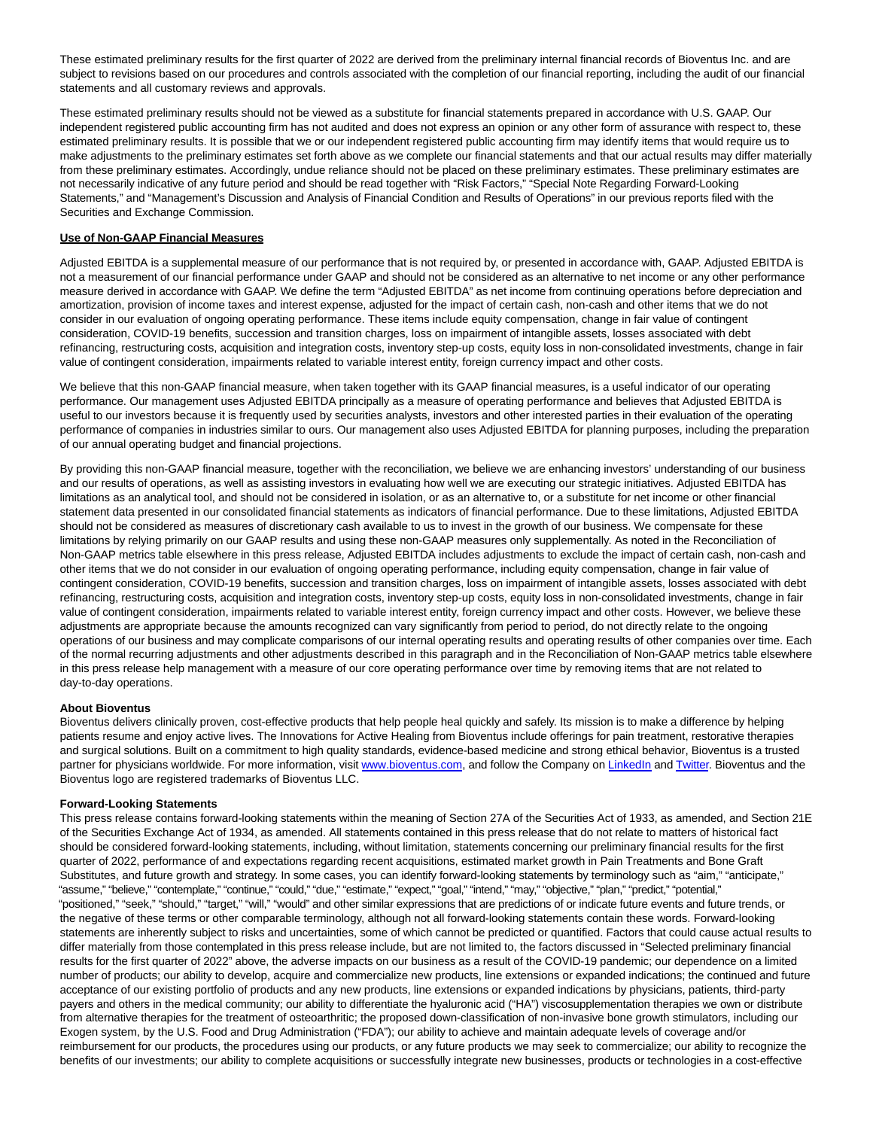These estimated preliminary results for the first quarter of 2022 are derived from the preliminary internal financial records of Bioventus Inc. and are subject to revisions based on our procedures and controls associated with the completion of our financial reporting, including the audit of our financial statements and all customary reviews and approvals.

These estimated preliminary results should not be viewed as a substitute for financial statements prepared in accordance with U.S. GAAP. Our independent registered public accounting firm has not audited and does not express an opinion or any other form of assurance with respect to, these estimated preliminary results. It is possible that we or our independent registered public accounting firm may identify items that would require us to make adjustments to the preliminary estimates set forth above as we complete our financial statements and that our actual results may differ materially from these preliminary estimates. Accordingly, undue reliance should not be placed on these preliminary estimates. These preliminary estimates are not necessarily indicative of any future period and should be read together with "Risk Factors," "Special Note Regarding Forward-Looking Statements," and "Management's Discussion and Analysis of Financial Condition and Results of Operations" in our previous reports filed with the Securities and Exchange Commission.

# **Use of Non-GAAP Financial Measures**

Adjusted EBITDA is a supplemental measure of our performance that is not required by, or presented in accordance with, GAAP. Adjusted EBITDA is not a measurement of our financial performance under GAAP and should not be considered as an alternative to net income or any other performance measure derived in accordance with GAAP. We define the term "Adjusted EBITDA" as net income from continuing operations before depreciation and amortization, provision of income taxes and interest expense, adjusted for the impact of certain cash, non-cash and other items that we do not consider in our evaluation of ongoing operating performance. These items include equity compensation, change in fair value of contingent consideration, COVID-19 benefits, succession and transition charges, loss on impairment of intangible assets, losses associated with debt refinancing, restructuring costs, acquisition and integration costs, inventory step-up costs, equity loss in non-consolidated investments, change in fair value of contingent consideration, impairments related to variable interest entity, foreign currency impact and other costs.

We believe that this non-GAAP financial measure, when taken together with its GAAP financial measures, is a useful indicator of our operating performance. Our management uses Adjusted EBITDA principally as a measure of operating performance and believes that Adjusted EBITDA is useful to our investors because it is frequently used by securities analysts, investors and other interested parties in their evaluation of the operating performance of companies in industries similar to ours. Our management also uses Adjusted EBITDA for planning purposes, including the preparation of our annual operating budget and financial projections.

By providing this non-GAAP financial measure, together with the reconciliation, we believe we are enhancing investors' understanding of our business and our results of operations, as well as assisting investors in evaluating how well we are executing our strategic initiatives. Adjusted EBITDA has limitations as an analytical tool, and should not be considered in isolation, or as an alternative to, or a substitute for net income or other financial statement data presented in our consolidated financial statements as indicators of financial performance. Due to these limitations, Adjusted EBITDA should not be considered as measures of discretionary cash available to us to invest in the growth of our business. We compensate for these limitations by relying primarily on our GAAP results and using these non-GAAP measures only supplementally. As noted in the Reconciliation of Non-GAAP metrics table elsewhere in this press release, Adjusted EBITDA includes adjustments to exclude the impact of certain cash, non-cash and other items that we do not consider in our evaluation of ongoing operating performance, including equity compensation, change in fair value of contingent consideration, COVID-19 benefits, succession and transition charges, loss on impairment of intangible assets, losses associated with debt refinancing, restructuring costs, acquisition and integration costs, inventory step-up costs, equity loss in non-consolidated investments, change in fair value of contingent consideration, impairments related to variable interest entity, foreign currency impact and other costs. However, we believe these adjustments are appropriate because the amounts recognized can vary significantly from period to period, do not directly relate to the ongoing operations of our business and may complicate comparisons of our internal operating results and operating results of other companies over time. Each of the normal recurring adjustments and other adjustments described in this paragraph and in the Reconciliation of Non-GAAP metrics table elsewhere in this press release help management with a measure of our core operating performance over time by removing items that are not related to day-to-day operations.

### **About Bioventus**

Bioventus delivers clinically proven, cost-effective products that help people heal quickly and safely. Its mission is to make a difference by helping patients resume and enjoy active lives. The Innovations for Active Healing from Bioventus include offerings for pain treatment, restorative therapies and surgical solutions. Built on a commitment to high quality standards, evidence-based medicine and strong ethical behavior, Bioventus is a trusted partner for physicians worldwide. For more information, visit [www.bioventus.com,](https://www.globenewswire.com/Tracker?data=M56CVoZf5UgeLZ607g-e4Dd_8wIxNsZSXDyKNLgkvsSAg3sSLM8R-Y5zwusHDbRuwlXE-e2MnP80ggQ0tzsR7g==) and follow the Company on [LinkedIn a](https://www.globenewswire.com/Tracker?data=yDpH6HbG62Rwin3-98gFyeJ11Kj6HJZl5gSdrIMDhqrJrw4K9Xx5qndbkVFoX3-VUPIQ4BvotfZOkmvkOSMZttLvNTceqIpj6or4lsQ26O4=)n[d Twitter.](https://www.globenewswire.com/Tracker?data=7AvVH3LqQxLpsCMT9RfLw-airKKH_nOJznZ-tF3RquogQKe7Nenk3dD-IF0MctJJhvxMx8kYjFM6TpnTX5cO3Kvd8MsM5kfFVnFhE9c6nXQ=) Bioventus and the Bioventus logo are registered trademarks of Bioventus LLC.

### **Forward-Looking Statements**

This press release contains forward-looking statements within the meaning of Section 27A of the Securities Act of 1933, as amended, and Section 21E of the Securities Exchange Act of 1934, as amended. All statements contained in this press release that do not relate to matters of historical fact should be considered forward-looking statements, including, without limitation, statements concerning our preliminary financial results for the first quarter of 2022, performance of and expectations regarding recent acquisitions, estimated market growth in Pain Treatments and Bone Graft Substitutes, and future growth and strategy. In some cases, you can identify forward-looking statements by terminology such as "aim," "anticipate," "assume," "believe," "contemplate," "continue," "could," "due," "estimate," "expect," "goal," "intend," "may," "objective," "plan," "predict," "potential," "positioned," "seek," "should," "target," "will," "would" and other similar expressions that are predictions of or indicate future events and future trends, or the negative of these terms or other comparable terminology, although not all forward-looking statements contain these words. Forward-looking statements are inherently subject to risks and uncertainties, some of which cannot be predicted or quantified. Factors that could cause actual results to differ materially from those contemplated in this press release include, but are not limited to, the factors discussed in "Selected preliminary financial results for the first quarter of 2022" above, the adverse impacts on our business as a result of the COVID-19 pandemic; our dependence on a limited number of products; our ability to develop, acquire and commercialize new products, line extensions or expanded indications; the continued and future acceptance of our existing portfolio of products and any new products, line extensions or expanded indications by physicians, patients, third-party payers and others in the medical community; our ability to differentiate the hyaluronic acid ("HA") viscosupplementation therapies we own or distribute from alternative therapies for the treatment of osteoarthritic; the proposed down-classification of non-invasive bone growth stimulators, including our Exogen system, by the U.S. Food and Drug Administration ("FDA"); our ability to achieve and maintain adequate levels of coverage and/or reimbursement for our products, the procedures using our products, or any future products we may seek to commercialize; our ability to recognize the benefits of our investments; our ability to complete acquisitions or successfully integrate new businesses, products or technologies in a cost-effective